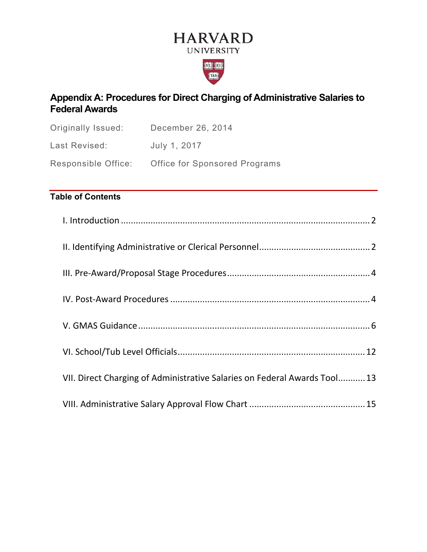# **HARVARD UNIVERSITY**



# **Appendix A: Procedures for Direct Charging of Administrative Salaries to Federal Awards**

| Originally Issued:         | December 26, 2014                    |
|----------------------------|--------------------------------------|
| Last Revised:              | July 1, 2017                         |
| <b>Responsible Office:</b> | <b>Office for Sponsored Programs</b> |

# **Table of Contents**

| VII. Direct Charging of Administrative Salaries on Federal Awards Tool 13 |  |
|---------------------------------------------------------------------------|--|
|                                                                           |  |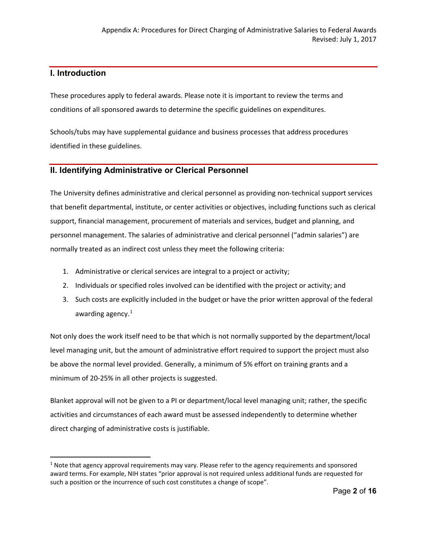# <span id="page-1-0"></span>**I. Introduction**

These procedures apply to federal awards. Please note it is important to review the terms and conditions of all sponsored awards to determine the specific guidelines on expenditures.

Schools/tubs may have supplemental guidance and business processes that address procedures identified in these guidelines.

# <span id="page-1-1"></span>**II. Identifying Administrative or Clerical Personnel**

The University defines administrative and clerical personnel as providing non-technical support services that benefit departmental, institute, or center activities or objectives, including functions such as clerical support, financial management, procurement of materials and services, budget and planning, and personnel management. The salaries of administrative and clerical personnel ("admin salaries") are normally treated as an indirect cost unless they meet the following criteria:

- 1. Administrative or clerical services are integral to a project or activity;
- 2. Individuals or specified roles involved can be identified with the project or activity; and
- 3. Such costs are explicitly included in the budget or have the prior written approval of the federal awarding agency.<sup>[1](#page-1-2)</sup>

Not only does the work itself need to be that which is not normally supported by the department/local level managing unit, but the amount of administrative effort required to support the project must also be above the normal level provided. Generally, a minimum of 5% effort on training grants and a minimum of 20-25% in all other projects is suggested.

Blanket approval will not be given to a PI or department/local level managing unit; rather, the specific activities and circumstances of each award must be assessed independently to determine whether direct charging of administrative costs is justifiable.

<span id="page-1-2"></span><sup>&</sup>lt;sup>1</sup> Note that agency approval requirements may vary. Please refer to the agency requirements and sponsored award terms. For example, NIH states "prior approval is not required unless additional funds are requested for such a position or the incurrence of such cost constitutes a change of scope".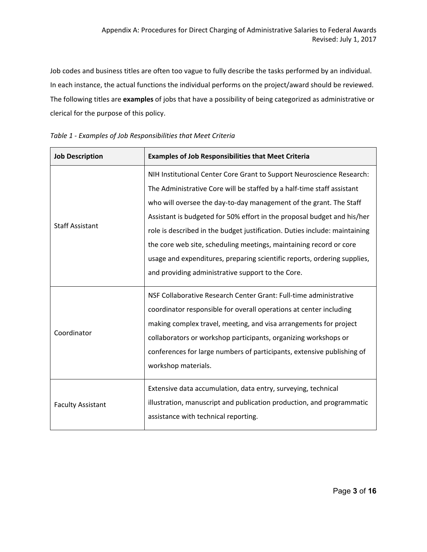Job codes and business titles are often too vague to fully describe the tasks performed by an individual. In each instance, the actual functions the individual performs on the project/award should be reviewed. The following titles are **examples** of jobs that have a possibility of being categorized as administrative or clerical for the purpose of this policy.

<span id="page-2-0"></span>

| <b>Job Description</b>   | <b>Examples of Job Responsibilities that Meet Criteria</b>                 |  |  |  |
|--------------------------|----------------------------------------------------------------------------|--|--|--|
|                          | NIH Institutional Center Core Grant to Support Neuroscience Research:      |  |  |  |
|                          | The Administrative Core will be staffed by a half-time staff assistant     |  |  |  |
|                          | who will oversee the day-to-day management of the grant. The Staff         |  |  |  |
|                          | Assistant is budgeted for 50% effort in the proposal budget and his/her    |  |  |  |
| <b>Staff Assistant</b>   | role is described in the budget justification. Duties include: maintaining |  |  |  |
|                          | the core web site, scheduling meetings, maintaining record or core         |  |  |  |
|                          | usage and expenditures, preparing scientific reports, ordering supplies,   |  |  |  |
|                          | and providing administrative support to the Core.                          |  |  |  |
|                          | NSF Collaborative Research Center Grant: Full-time administrative          |  |  |  |
|                          | coordinator responsible for overall operations at center including         |  |  |  |
|                          | making complex travel, meeting, and visa arrangements for project          |  |  |  |
| Coordinator              | collaborators or workshop participants, organizing workshops or            |  |  |  |
|                          | conferences for large numbers of participants, extensive publishing of     |  |  |  |
|                          | workshop materials.                                                        |  |  |  |
|                          | Extensive data accumulation, data entry, surveying, technical              |  |  |  |
| <b>Faculty Assistant</b> | illustration, manuscript and publication production, and programmatic      |  |  |  |
|                          | assistance with technical reporting.                                       |  |  |  |
|                          |                                                                            |  |  |  |

*Table 1 - Examples of Job Responsibilities that Meet Criteria*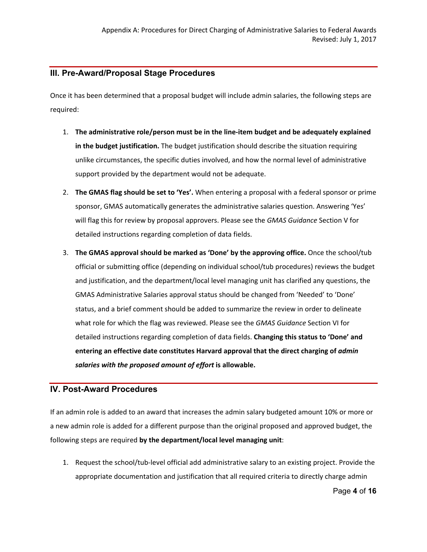# **III. Pre-Award/Proposal Stage Procedures**

Once it has been determined that a proposal budget will include admin salaries, the following steps are required:

- 1. **The administrative role/person must be in the line-item budget and be adequately explained in the budget justification.** The budget justification should describe the situation requiring unlike circumstances, the specific duties involved, and how the normal level of administrative support provided by the department would not be adequate.
- 2. **The GMAS flag should be set to 'Yes'.** When entering a proposal with a federal sponsor or prime sponsor, GMAS automatically generates the administrative salaries question. Answering 'Yes' will flag this for review by proposal approvers. Please see the *GMAS Guidance* Section V for detailed instructions regarding completion of data fields.
- 3. **The GMAS approval should be marked as 'Done' by the approving office.** Once the school/tub official or submitting office (depending on individual school/tub procedures) reviews the budget and justification, and the department/local level managing unit has clarified any questions, the GMAS Administrative Salaries approval status should be changed from 'Needed' to 'Done' status, and a brief comment should be added to summarize the review in order to delineate what role for which the flag was reviewed. Please see the *GMAS Guidance* Section VI for detailed instructions regarding completion of data fields. **Changing this status to 'Done' and entering an effective date constitutes Harvard approval that the direct charging of** *admin salaries with the proposed amount of effort* **is allowable.**

# <span id="page-3-0"></span>**IV. Post-Award Procedures**

If an admin role is added to an award that increases the admin salary budgeted amount 10% or more or a new admin role is added for a different purpose than the original proposed and approved budget, the following steps are required **by the department/local level managing unit**:

1. Request the school/tub-level official add administrative salary to an existing project. Provide the appropriate documentation and justification that all required criteria to directly charge admin

Page **4** of **16**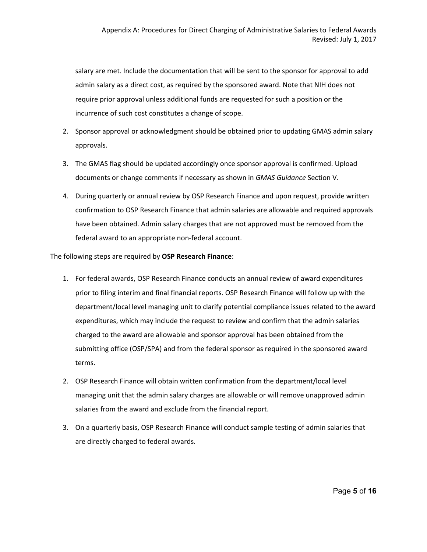salary are met. Include the documentation that will be sent to the sponsor for approval to add admin salary as a direct cost, as required by the sponsored award. Note that NIH does not require prior approval unless additional funds are requested for such a position or the incurrence of such cost constitutes a change of scope.

- 2. Sponsor approval or acknowledgment should be obtained prior to updating GMAS admin salary approvals.
- 3. The GMAS flag should be updated accordingly once sponsor approval is confirmed. Upload documents or change comments if necessary as shown in *GMAS Guidance* Section V.
- 4. During quarterly or annual review by OSP Research Finance and upon request, provide written confirmation to OSP Research Finance that admin salaries are allowable and required approvals have been obtained. Admin salary charges that are not approved must be removed from the federal award to an appropriate non-federal account.

#### The following steps are required by **OSP Research Finance**:

- 1. For federal awards, OSP Research Finance conducts an annual review of award expenditures prior to filing interim and final financial reports. OSP Research Finance will follow up with the department/local level managing unit to clarify potential compliance issues related to the award expenditures, which may include the request to review and confirm that the admin salaries charged to the award are allowable and sponsor approval has been obtained from the submitting office (OSP/SPA) and from the federal sponsor as required in the sponsored award terms.
- 2. OSP Research Finance will obtain written confirmation from the department/local level managing unit that the admin salary charges are allowable or will remove unapproved admin salaries from the award and exclude from the financial report.
- 3. On a quarterly basis, OSP Research Finance will conduct sample testing of admin salaries that are directly charged to federal awards.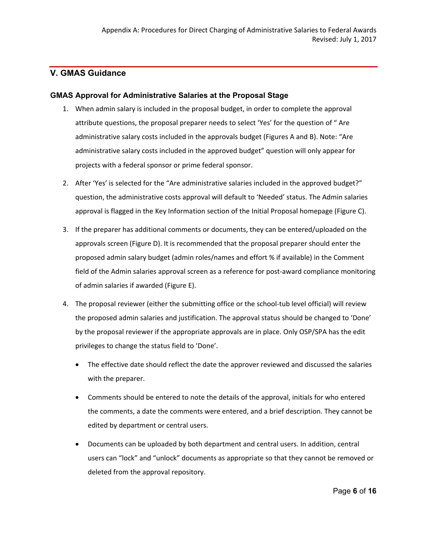# <span id="page-5-0"></span>**V. GMAS Guidance**

#### **GMAS Approval for Administrative Salaries at the Proposal Stage**

- 1. When admin salary is included in the proposal budget, in order to complete the approval attribute questions, the proposal preparer needs to select 'Yes' for the question of " Are administrative salary costs included in the approvals budget (Figures A and B). Note: "Are administrative salary costs included in the approved budget" question will only appear for projects with a federal sponsor or prime federal sponsor.
- 2. After 'Yes' is selected for the "Are administrative salaries included in the approved budget?" question, the administrative costs approval will default to 'Needed' status. The Admin salaries approval is flagged in the Key Information section of the Initial Proposal homepage (Figure C).
- 3. If the preparer has additional comments or documents, they can be entered/uploaded on the approvals screen (Figure D). It is recommended that the proposal preparer should enter the proposed admin salary budget (admin roles/names and effort % if available) in the Comment field of the Admin salaries approval screen as a reference for post-award compliance monitoring of admin salaries if awarded (Figure E).
- 4. The proposal reviewer (either the submitting office or the school-tub level official) will review the proposed admin salaries and justification. The approval status should be changed to 'Done' by the proposal reviewer if the appropriate approvals are in place. Only OSP/SPA has the edit privileges to change the status field to 'Done'.
	- The effective date should reflect the date the approver reviewed and discussed the salaries with the preparer.
	- Comments should be entered to note the details of the approval, initials for who entered the comments, a date the comments were entered, and a brief description. They cannot be edited by department or central users.
	- Documents can be uploaded by both department and central users. In addition, central users can "lock" and "unlock" documents as appropriate so that they cannot be removed or deleted from the approval repository.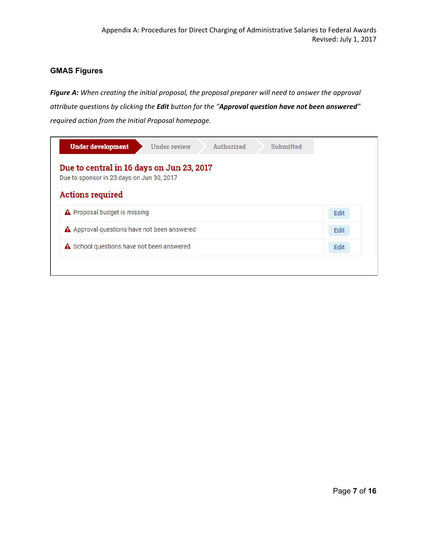# **GMAS Figures**

*Figure A: When creating the initial proposal, the proposal preparer will need to answer the approval attribute questions by clicking the Edit button for the "Approval question have not been answered" required action from the Initial Proposal homepage.*

| <b>Under development</b><br><b>Under review</b><br>Authorized<br><b>Submitted</b>      |      |  |  |  |  |
|----------------------------------------------------------------------------------------|------|--|--|--|--|
| Due to central in 16 days on Jun 23, 2017<br>Due to sponsor in 23 days on Jun 30, 2017 |      |  |  |  |  |
| <b>Actions required</b>                                                                |      |  |  |  |  |
| A Proposal budget is missing                                                           | Edit |  |  |  |  |
| A Approval questions have not been answered                                            |      |  |  |  |  |
| ▲ School questions have not been answered                                              | Edit |  |  |  |  |
|                                                                                        |      |  |  |  |  |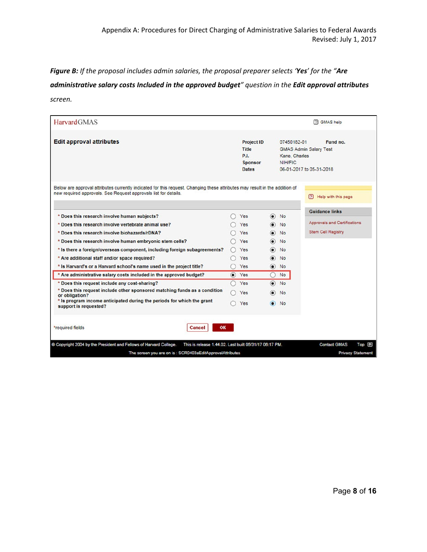*Figure B: If the proposal includes admin salaries, the proposal preparer selects 'Yes' for the "Are administrative salary costs Included in the approved budget" question in the Edit approval attributes screen.*

| <b>HarvardGMAS</b>                                                                                                                                                                             |                                                                             |                          |                                         | <b>P</b> GMAS help                                                    |
|------------------------------------------------------------------------------------------------------------------------------------------------------------------------------------------------|-----------------------------------------------------------------------------|--------------------------|-----------------------------------------|-----------------------------------------------------------------------|
| <b>Edit approval attributes</b>                                                                                                                                                                | Project ID<br><b>Title</b><br><b>P.I.</b><br><b>Sponsor</b><br><b>Dates</b> |                          | 07450182-01<br>Kane, Charles<br>NIH/FIC | Fund no.<br><b>GMAS Admin Salary Test</b><br>06-01-2017 to 05-31-2018 |
| Below are approval attributes currently indicated for this request. Changing these attributes may result in the addition of<br>new required approvals. See Request approvals list for details. |                                                                             |                          |                                         | ? Help with this page                                                 |
| * Does this research involve human subjects?                                                                                                                                                   | Yes                                                                         | $\circ$                  | <b>No</b>                               | <b>Guidance links</b>                                                 |
| * Does this research involve vertebrate animal use?                                                                                                                                            | Yes                                                                         |                          | <b>No</b>                               | Approvals and Certifications                                          |
| * Does this research involve biohazards/rDNA?                                                                                                                                                  | Yes                                                                         | $\bullet$                | No                                      | <b>Stem Cell Registry</b>                                             |
| * Does this research involve human embryonic stem cells?                                                                                                                                       | Yes                                                                         | $\odot$                  | <b>No</b>                               |                                                                       |
| * Is there a foreign/overseas component, including foreign subagreements?                                                                                                                      | Yes                                                                         | $\circ$                  | <b>No</b>                               |                                                                       |
| * Are additional staff and/or space required?                                                                                                                                                  | <b>Yes</b>                                                                  | $\left( \bullet \right)$ | <b>No</b>                               |                                                                       |
| * Is Harvard's or a Harvard school's name used in the project title?                                                                                                                           | Yes                                                                         | $\circledbullet$         | <b>No</b>                               |                                                                       |
| * Are administrative salary costs included in the approved budget?                                                                                                                             | $\bullet$ Yes                                                               | С                        | <b>No</b>                               |                                                                       |
| * Does this request include any cost-sharing?                                                                                                                                                  | Yes                                                                         | $\left( \bullet \right)$ | <b>No</b>                               |                                                                       |
| * Does this request include other sponsored matching funds as a condition<br>or obligation?                                                                                                    | Yes                                                                         | o                        | No                                      |                                                                       |
| * Is program income anticipated during the periods for which the grant<br>support is requested?                                                                                                | Yes                                                                         | О                        | <b>No</b>                               |                                                                       |
| OK<br>*required fields<br><b>Cancel</b>                                                                                                                                                        |                                                                             |                          |                                         |                                                                       |
| © Copyright 2004 by the President and Fellows of Harvard College.<br>This is release 1.44.02. Last built 05/31/17 06:17 PM.                                                                    |                                                                             |                          |                                         | <b>Contact GMAS</b><br>Top [f]                                        |
| The screen you are on is: SCR0403aEditApprovalAttributes                                                                                                                                       |                                                                             |                          |                                         | <b>Privacy Statement</b>                                              |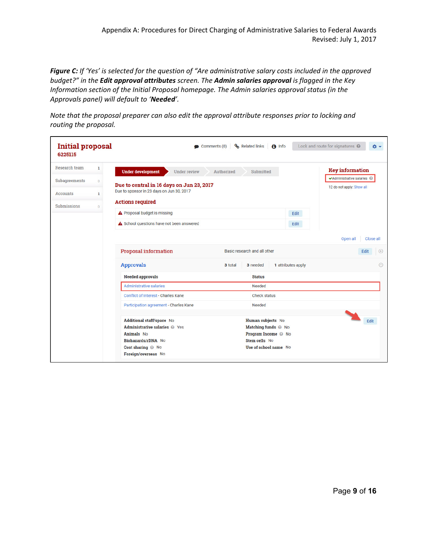*Figure C: If 'Yes' is selected for the question of "Are administrative salary costs included in the approved budget?" in the Edit approval attributes screen. The Admin salaries approval is flagged in the Key Information section of the Initial Proposal homepage. The Admin salaries approval status (in the Approvals panel) will default to 'Needed'.*

*Note that the proposal preparer can also edit the approval attribute responses prior to locking and routing the proposal.*

| <b>Initial proposal</b><br>6225115 |                |                                                 | Related links<br>Comments (0) | $\bigcap$ Info                         | Lock and route for signatures @<br>۰ |
|------------------------------------|----------------|-------------------------------------------------|-------------------------------|----------------------------------------|--------------------------------------|
| Research team                      | ı              | <b>Under development</b><br><b>Under review</b> | Authorized                    | Submitted                              | <b>Key information</b>               |
| Subagreements                      | $\overline{0}$ | Due to central in 16 days on Jun 23, 2017       |                               |                                        | ✔Administrative salaries ◎           |
| <b>Accounts</b>                    | $\mathbf{1}$   | Due to sponsor in 23 days on Jun 30, 2017       |                               |                                        | 12 do not apply: Show all            |
| Submissions                        | $\bf{0}$       | <b>Actions required</b>                         |                               |                                        |                                      |
|                                    |                | A Proposal budget is missing                    |                               | Edit                                   |                                      |
|                                    |                | A School questions have not been answered       |                               | Edit                                   |                                      |
|                                    |                |                                                 |                               |                                        | Open all<br>Close all                |
|                                    |                | <b>Proposal information</b>                     | Basic research and all other  |                                        | Edit<br>$\bigoplus$                  |
|                                    |                | <b>Approvals</b>                                | 3 total                       | 1 attributes apply<br>3 needed         | $\Theta$                             |
|                                    |                | <b>Needed approvals</b>                         |                               | <b>Status</b>                          |                                      |
|                                    |                | <b>Administrative salaries</b>                  |                               | Needed                                 |                                      |
|                                    |                | Conflict of Interest - Charles Kane             |                               | <b>Check status</b>                    |                                      |
|                                    |                | Participation agreement - Charles Kane          |                               | Needed                                 |                                      |
|                                    |                | Additional staff/space No                       |                               | Human subjects No                      | Edit                                 |
|                                    |                | Administrative salaries @ Yes                   |                               | Matching funds @ No                    |                                      |
|                                    |                | <b>Animals</b> No                               |                               | Program Income @ No                    |                                      |
|                                    |                | Biohazards/rDNA No<br>Cost sharing @ No         |                               | Stem cells No<br>Use of school name No |                                      |
|                                    |                | Foreign/overseas No                             |                               |                                        |                                      |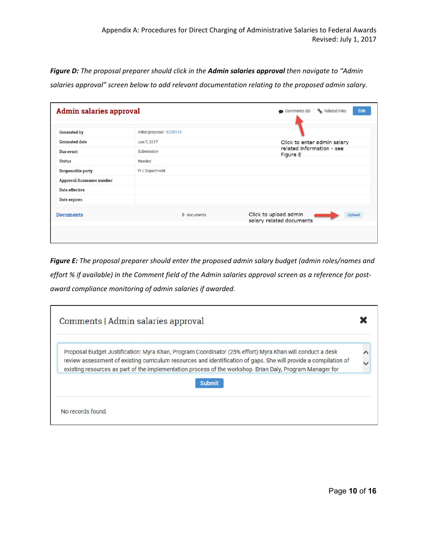*Figure D: The proposal preparer should click in the Admin salaries approval then navigate to "Admin salaries approval" screen below to add relevant documentation relating to the proposed admin salary.*

| <b>Admin salaries approval</b> |                            | Edit<br>& Related links<br>Comments (0)                            |  |  |
|--------------------------------|----------------------------|--------------------------------------------------------------------|--|--|
| <b>Generated by</b>            | Initial proposal : 6225115 |                                                                    |  |  |
| <b>Generated date</b>          | Jun 7, 2017                | Click to enter admin salary                                        |  |  |
| Due event                      | Submission                 | related information - see<br>Figure E                              |  |  |
| <b>Status</b>                  | Needed                     |                                                                    |  |  |
| <b>Responsible party</b>       | PI / Department            |                                                                    |  |  |
| Approval/Assurance number      |                            |                                                                    |  |  |
| Date effective                 |                            |                                                                    |  |  |
| Date expires                   |                            |                                                                    |  |  |
| <b>Documents</b>               | 0 documents                | Click to upload admin<br><b>Upload</b><br>salary related documents |  |  |

*Figure E: The proposal preparer should enter the proposed admin salary budget (admin roles/names and effort % if available) in the Comment field of the Admin salaries approval screen as a reference for postaward compliance monitoring of admin salaries if awarded.*

| Proposal Budget Justification: Myra Khan, Program Coordinator (25% effort) Myra Khan will conduct a desk                                                                                                                      |  |
|-------------------------------------------------------------------------------------------------------------------------------------------------------------------------------------------------------------------------------|--|
| review assessment of existing curriculum resources and identification of gaps. She will provide a compilation of<br>existing resources as part of the implementation process of the workshop. Brian Daly, Program Manager for |  |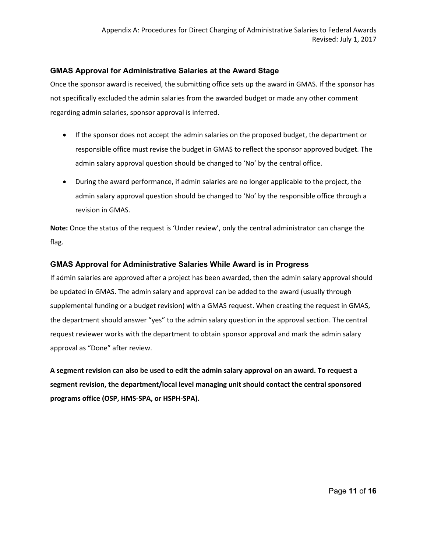#### **GMAS Approval for Administrative Salaries at the Award Stage**

Once the sponsor award is received, the submitting office sets up the award in GMAS. If the sponsor has not specifically excluded the admin salaries from the awarded budget or made any other comment regarding admin salaries, sponsor approval is inferred.

- If the sponsor does not accept the admin salaries on the proposed budget, the department or responsible office must revise the budget in GMAS to reflect the sponsor approved budget. The admin salary approval question should be changed to 'No' by the central office.
- During the award performance, if admin salaries are no longer applicable to the project, the admin salary approval question should be changed to 'No' by the responsible office through a revision in GMAS.

**Note:** Once the status of the request is 'Under review', only the central administrator can change the flag.

#### **GMAS Approval for Administrative Salaries While Award is in Progress**

If admin salaries are approved after a project has been awarded, then the admin salary approval should be updated in GMAS. The admin salary and approval can be added to the award (usually through supplemental funding or a budget revision) with a GMAS request. When creating the request in GMAS, the department should answer "yes" to the admin salary question in the approval section. The central request reviewer works with the department to obtain sponsor approval and mark the admin salary approval as "Done" after review.

**A segment revision can also be used to edit the admin salary approval on an award. To request a segment revision, the department/local level managing unit should contact the central sponsored programs office (OSP, HMS-SPA, or HSPH-SPA).**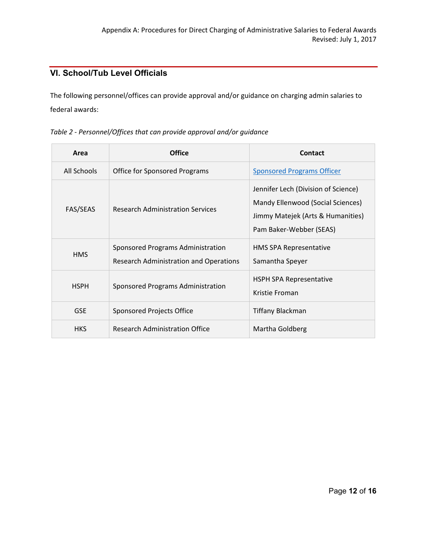# <span id="page-11-0"></span>**VI. School/Tub Level Officials**

The following personnel/offices can provide approval and/or guidance on charging admin salaries to federal awards:

| Area            | <b>Office</b>                                                                      | <b>Contact</b>                                                                                                                           |  |  |
|-----------------|------------------------------------------------------------------------------------|------------------------------------------------------------------------------------------------------------------------------------------|--|--|
| All Schools     | <b>Office for Sponsored Programs</b>                                               | <b>Sponsored Programs Officer</b>                                                                                                        |  |  |
| <b>FAS/SEAS</b> | <b>Research Administration Services</b>                                            | Jennifer Lech (Division of Science)<br>Mandy Ellenwood (Social Sciences)<br>Jimmy Matejek (Arts & Humanities)<br>Pam Baker-Webber (SEAS) |  |  |
| <b>HMS</b>      | Sponsored Programs Administration<br><b>Research Administration and Operations</b> | HMS SPA Representative<br>Samantha Speyer                                                                                                |  |  |
| <b>HSPH</b>     | Sponsored Programs Administration                                                  | <b>HSPH SPA Representative</b><br>Kristie Froman                                                                                         |  |  |
| <b>GSE</b>      | Sponsored Projects Office                                                          | Tiffany Blackman                                                                                                                         |  |  |
| <b>HKS</b>      | Research Administration Office                                                     | Martha Goldberg                                                                                                                          |  |  |

*Table 2 - Personnel/Offices that can provide approval and/or guidance*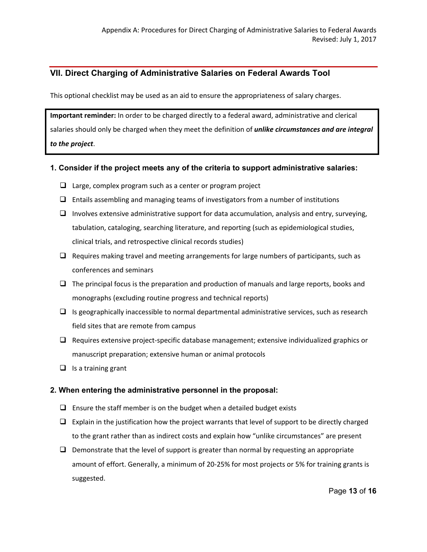# <span id="page-12-0"></span>**VII. Direct Charging of Administrative Salaries on Federal Awards Tool**

This optional checklist may be used as an aid to ensure the appropriateness of salary charges.

**Important reminder:** In order to be charged directly to a federal award, administrative and clerical salaries should only be charged when they meet the definition of *unlike circumstances and are integral to the project*.

#### **1. Consider if the project meets any of the criteria to support administrative salaries:**

- $\Box$  Large, complex program such as a center or program project
- $\Box$  Entails assembling and managing teams of investigators from a number of institutions
- $\Box$  Involves extensive administrative support for data accumulation, analysis and entry, surveying, tabulation, cataloging, searching literature, and reporting (such as epidemiological studies, clinical trials, and retrospective clinical records studies)
- $\Box$  Requires making travel and meeting arrangements for large numbers of participants, such as conferences and seminars
- $\Box$  The principal focus is the preparation and production of manuals and large reports, books and monographs (excluding routine progress and technical reports)
- $\Box$  Is geographically inaccessible to normal departmental administrative services, such as research field sites that are remote from campus
- $\Box$  Requires extensive project-specific database management; extensive individualized graphics or manuscript preparation; extensive human or animal protocols
- $\Box$  Is a training grant

#### **2. When entering the administrative personnel in the proposal:**

- $\Box$  Ensure the staff member is on the budget when a detailed budget exists
- $\Box$  Explain in the justification how the project warrants that level of support to be directly charged to the grant rather than as indirect costs and explain how "unlike circumstances" are present
- $\Box$  Demonstrate that the level of support is greater than normal by requesting an appropriate amount of effort. Generally, a minimum of 20-25% for most projects or 5% for training grants is suggested.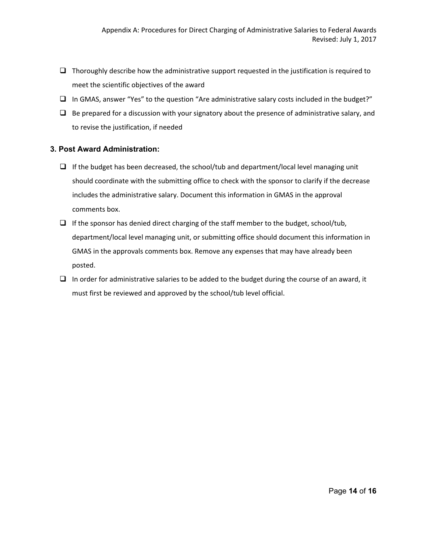- $\Box$  Thoroughly describe how the administrative support requested in the justification is required to meet the scientific objectives of the award
- $\Box$  In GMAS, answer "Yes" to the question "Are administrative salary costs included in the budget?"
- $\Box$  Be prepared for a discussion with your signatory about the presence of administrative salary, and to revise the justification, if needed

#### **3. Post Award Administration:**

- $\Box$  If the budget has been decreased, the school/tub and department/local level managing unit should coordinate with the submitting office to check with the sponsor to clarify if the decrease includes the administrative salary. Document this information in GMAS in the approval comments box.
- $\Box$  If the sponsor has denied direct charging of the staff member to the budget, school/tub, department/local level managing unit, or submitting office should document this information in GMAS in the approvals comments box. Remove any expenses that may have already been posted.
- $\Box$  In order for administrative salaries to be added to the budget during the course of an award, it must first be reviewed and approved by the school/tub level official.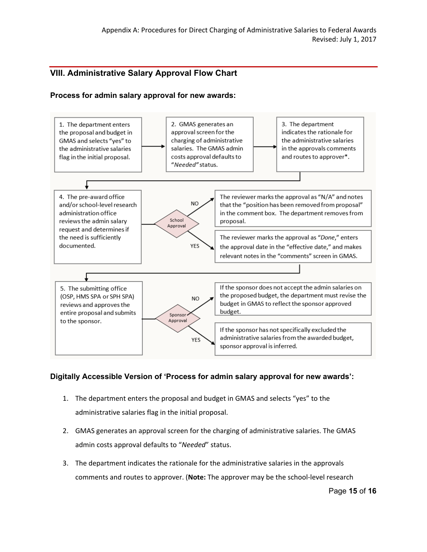# <span id="page-14-0"></span>**VIII. Administrative Salary Approval Flow Chart**

#### **Process for admin salary approval for new awards:**



# **Digitally Accessible Version of 'Process for admin salary approval for new awards':**

- 1. The department enters the proposal and budget in GMAS and selects "yes" to the administrative salaries flag in the initial proposal.
- 2. GMAS generates an approval screen for the charging of administrative salaries. The GMAS admin costs approval defaults to "*Needed*" status.
- 3. The department indicates the rationale for the administrative salaries in the approvals comments and routes to approver. (**Note:** The approver may be the school-level research